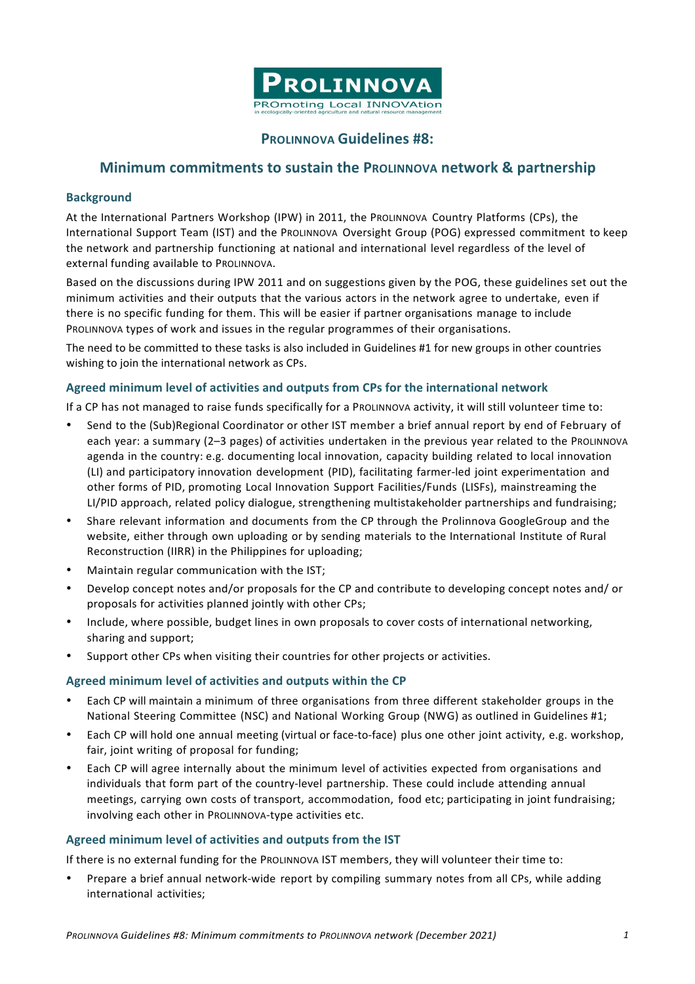

# **PROLINNOVA Guidelines #8:**

# **Minimum commitments to sustain the PROLINNOVA network & partnership**

#### **Background**

At the International Partners Workshop (IPW) in 2011, the PROLINNOVA Country Platforms (CPs), the International Support Team (IST) and the PROLINNOVA Oversight Group (POG) expressed commitment to keep the network and partnership functioning at national and international level regardless of the level of external funding available to PROLINNOVA.

Based on the discussions during IPW 2011 and on suggestions given by the POG, these guidelines set out the minimum activities and their outputs that the various actors in the network agree to undertake, even if there is no specific funding for them. This will be easier if partner organisations manage to include PROLINNOVA types of work and issues in the regular programmes of their organisations.

The need to be committed to these tasks is also included in Guidelines #1 for new groups in other countries wishing to join the international network as CPs.

#### **Agreed minimum level of activities and outputs from CPs for the international network**

If a CP has not managed to raise funds specifically for a PROLINNOVA activity, it will still volunteer time to:

- Send to the (Sub)Regional Coordinator or other IST member a brief annual report by end of February of each year: a summary (2-3 pages) of activities undertaken in the previous year related to the PROLINNOVA agenda in the country: e.g. documenting local innovation, capacity building related to local innovation (LI) and participatory innovation development (PID), facilitating farmer-led joint experimentation and other forms of PID, promoting Local Innovation Support Facilities/Funds (LISFs), mainstreaming the LI/PID approach, related policy dialogue, strengthening multistakeholder partnerships and fundraising;
- Share relevant information and documents from the CP through the Prolinnova GoogleGroup and the website, either through own uploading or by sending materials to the International Institute of Rural Reconstruction (IIRR) in the Philippines for uploading;
- Maintain regular communication with the IST;
- Develop concept notes and/or proposals for the CP and contribute to developing concept notes and/ or proposals for activities planned jointly with other CPs;
- Include, where possible, budget lines in own proposals to cover costs of international networking, sharing and support;
- Support other CPs when visiting their countries for other projects or activities.

#### **Agreed minimum level of activities and outputs within the CP**

- Each CP will maintain a minimum of three organisations from three different stakeholder groups in the National Steering Committee (NSC) and National Working Group (NWG) as outlined in Guidelines #1;
- Each CP will hold one annual meeting (virtual or face-to-face) plus one other joint activity, e.g. workshop, fair, joint writing of proposal for funding:
- Each CP will agree internally about the minimum level of activities expected from organisations and individuals that form part of the country-level partnership. These could include attending annual meetings, carrying own costs of transport, accommodation, food etc; participating in joint fundraising; involving each other in PROLINNOVA-type activities etc.

#### **Agreed minimum level of activities and outputs from the IST**

If there is no external funding for the PROLINNOVA IST members, they will volunteer their time to:

• Prepare a brief annual network-wide report by compiling summary notes from all CPs, while adding international activities;